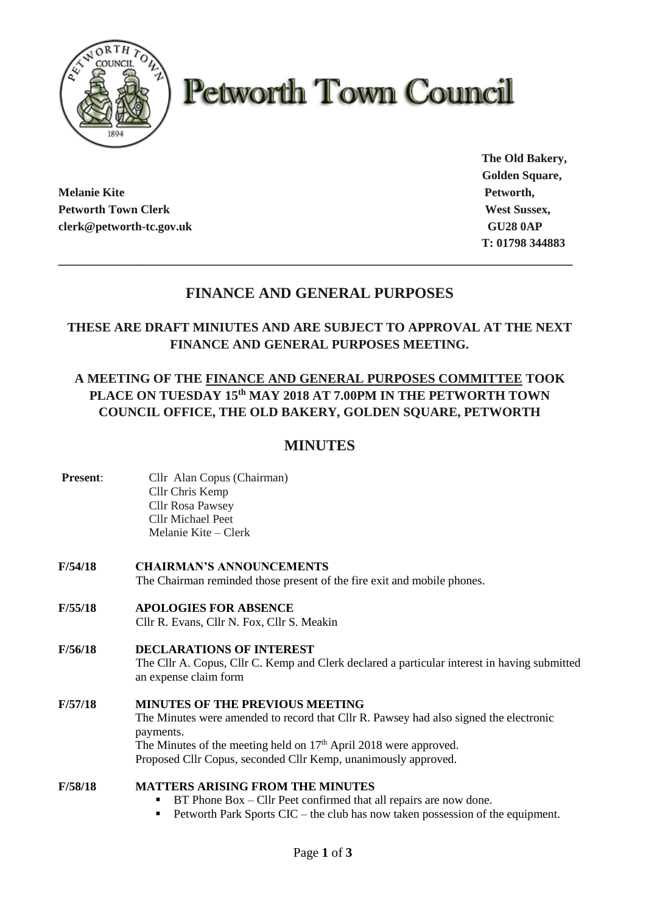

# **Petworth Town Council**

**Melanie Kite Petworth, Petworth Town Clerk West Sussex, West Sussex, West Sussex, West Sussex, West Sussex, West Sussex, West Sussex, West Sussex, West Sussex, West Sussex, West Sussex, West Sussex, West Sussex, West Sussex, West Sussex, West S clerk@petworth-tc.gov.uk** GU28 0AP

**The Old Bakery, Golden Square, T: 01798 344883**

# **FINANCE AND GENERAL PURPOSES**

**\_\_\_\_\_\_\_\_\_\_\_\_\_\_\_\_\_\_\_\_\_\_\_\_\_\_\_\_\_\_\_\_\_\_\_\_\_\_\_\_\_\_\_\_\_\_\_\_\_\_\_\_\_\_\_\_\_\_\_\_\_\_\_\_\_\_\_\_\_\_\_\_\_\_\_\_\_\_\_**

## **THESE ARE DRAFT MINIUTES AND ARE SUBJECT TO APPROVAL AT THE NEXT FINANCE AND GENERAL PURPOSES MEETING.**

## **A MEETING OF THE FINANCE AND GENERAL PURPOSES COMMITTEE TOOK PLACE ON TUESDAY 15th MAY 2018 AT 7.00PM IN THE PETWORTH TOWN COUNCIL OFFICE, THE OLD BAKERY, GOLDEN SQUARE, PETWORTH**

# **MINUTES**

- **Present:** Cllr Alan Copus (Chairman) Cllr Chris Kemp Cllr Rosa Pawsey Cllr Michael Peet Melanie Kite – Clerk
- **F/54/18 CHAIRMAN'S ANNOUNCEMENTS** The Chairman reminded those present of the fire exit and mobile phones.
- **F/55/18 APOLOGIES FOR ABSENCE** Cllr R. Evans, Cllr N. Fox, Cllr S. Meakin
- **F/56/18 DECLARATIONS OF INTEREST** The Cllr A. Copus, Cllr C. Kemp and Clerk declared a particular interest in having submitted an expense claim form
- **F/57/18 MINUTES OF THE PREVIOUS MEETING** The Minutes were amended to record that Cllr R. Pawsey had also signed the electronic payments. The Minutes of the meeting held on  $17<sup>th</sup>$  April 2018 were approved. Proposed Cllr Copus, seconded Cllr Kemp, unanimously approved.

## **F/58/18 MATTERS ARISING FROM THE MINUTES**

- $BT$  Phone  $Box$  Cllr Peet confirmed that all repairs are now done.
- Petworth Park Sports CIC the club has now taken possession of the equipment.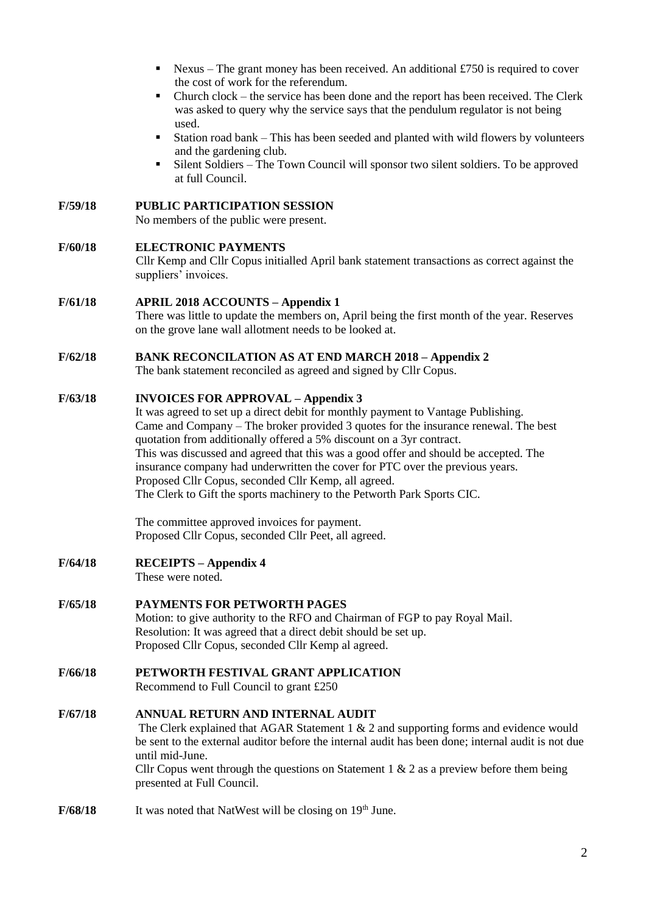- **E** Nexus The grant money has been received. An additional £750 is required to cover the cost of work for the referendum.
- Church clock the service has been done and the report has been received. The Clerk was asked to query why the service says that the pendulum regulator is not being used.
- Station road bank This has been seeded and planted with wild flowers by volunteers and the gardening club.
- Silent Soldiers The Town Council will sponsor two silent soldiers. To be approved at full Council.

#### **F/59/18 PUBLIC PARTICIPATION SESSION**

No members of the public were present.

#### **F/60/18 ELECTRONIC PAYMENTS**

Cllr Kemp and Cllr Copus initialled April bank statement transactions as correct against the suppliers' invoices.

# **F/61/18 APRIL 2018 ACCOUNTS – Appendix 1**

There was little to update the members on, April being the first month of the year. Reserves on the grove lane wall allotment needs to be looked at.

## **F/62/18 BANK RECONCILATION AS AT END MARCH 2018 – Appendix 2**

The bank statement reconciled as agreed and signed by Cllr Copus.

## **F/63/18 INVOICES FOR APPROVAL – Appendix 3**

It was agreed to set up a direct debit for monthly payment to Vantage Publishing. Came and Company – The broker provided 3 quotes for the insurance renewal. The best quotation from additionally offered a 5% discount on a 3yr contract. This was discussed and agreed that this was a good offer and should be accepted. The insurance company had underwritten the cover for PTC over the previous years. Proposed Cllr Copus, seconded Cllr Kemp, all agreed. The Clerk to Gift the sports machinery to the Petworth Park Sports CIC.

The committee approved invoices for payment. Proposed Cllr Copus, seconded Cllr Peet, all agreed.

**F/64/18 RECEIPTS – Appendix 4**

These were noted.

#### **F/65/18 PAYMENTS FOR PETWORTH PAGES**

Motion: to give authority to the RFO and Chairman of FGP to pay Royal Mail. Resolution: It was agreed that a direct debit should be set up. Proposed Cllr Copus, seconded Cllr Kemp al agreed.

**F/66/18 PETWORTH FESTIVAL GRANT APPLICATION**

Recommend to Full Council to grant £250

## **F/67/18 ANNUAL RETURN AND INTERNAL AUDIT**

The Clerk explained that AGAR Statement 1 & 2 and supporting forms and evidence would be sent to the external auditor before the internal audit has been done; internal audit is not due until mid-June.

Cllr Copus went through the questions on Statement 1  $\&$  2 as a preview before them being presented at Full Council.

**F/68/18** It was noted that NatWest will be closing on 19<sup>th</sup> June.